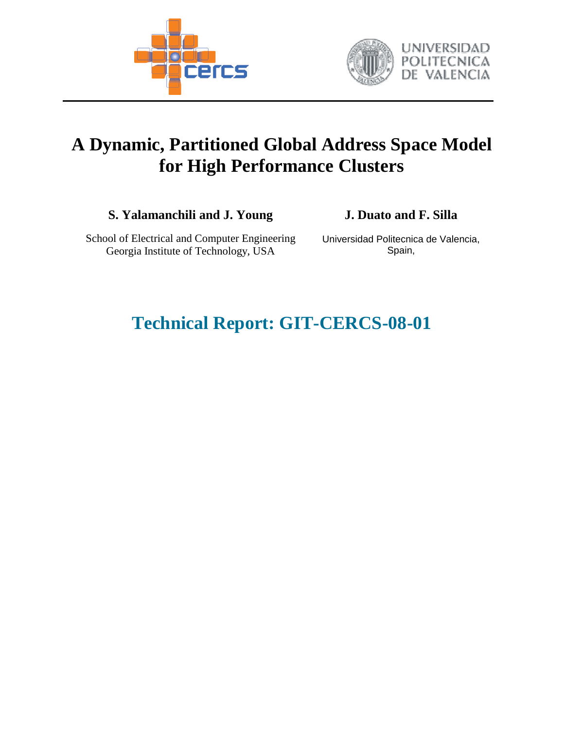



# **A Dynamic, Partitioned Global Address Space Model for High Performance Clusters**

**S. Yalamanchili and J. Young J. Duato and F. Silla** 

School of Electrical and Computer Engineering Georgia Institute of Technology, USA

Universidad Politecnica de Valencia, Spain,

# **Technical Report: GIT-CERCS-08-01**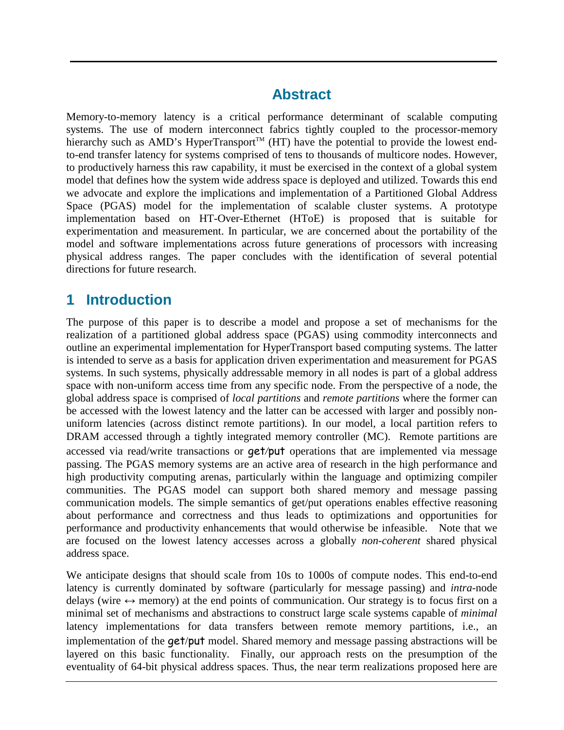## **Abstract**

Memory-to-memory latency is a critical performance determinant of scalable computing systems. The use of modern interconnect fabrics tightly coupled to the processor-memory hierarchy such as AMD's HyperTransport<sup>TM</sup> (HT) have the potential to provide the lowest endto-end transfer latency for systems comprised of tens to thousands of multicore nodes. However, to productively harness this raw capability, it must be exercised in the context of a global system model that defines how the system wide address space is deployed and utilized. Towards this end we advocate and explore the implications and implementation of a Partitioned Global Address Space (PGAS) model for the implementation of scalable cluster systems. A prototype implementation based on HT-Over-Ethernet (HToE) is proposed that is suitable for experimentation and measurement. In particular, we are concerned about the portability of the model and software implementations across future generations of processors with increasing physical address ranges. The paper concludes with the identification of several potential directions for future research.

# **1 Introduction**

The purpose of this paper is to describe a model and propose a set of mechanisms for the realization of a partitioned global address space (PGAS) using commodity interconnects and outline an experimental implementation for HyperTransport based computing systems. The latter is intended to serve as a basis for application driven experimentation and measurement for PGAS systems. In such systems, physically addressable memory in all nodes is part of a global address space with non-uniform access time from any specific node. From the perspective of a node, the global address space is comprised of *local partitions* and *remote partitions* where the former can be accessed with the lowest latency and the latter can be accessed with larger and possibly nonuniform latencies (across distinct remote partitions). In our model, a local partition refers to DRAM accessed through a tightly integrated memory controller (MC). Remote partitions are accessed via read/write transactions or get*/*put operations that are implemented via message passing. The PGAS memory systems are an active area of research in the high performance and high productivity computing arenas, particularly within the language and optimizing compiler communities. The PGAS model can support both shared memory and message passing communication models. The simple semantics of get/put operations enables effective reasoning about performance and correctness and thus leads to optimizations and opportunities for performance and productivity enhancements that would otherwise be infeasible. Note that we are focused on the lowest latency accesses across a globally *non-coherent* shared physical address space.

We anticipate designs that should scale from 10s to 1000s of compute nodes. This end-to-end latency is currently dominated by software (particularly for message passing) and *intra*-node delays (wire  $\leftrightarrow$  memory) at the end points of communication. Our strategy is to focus first on a minimal set of mechanisms and abstractions to construct large scale systems capable of *minimal* latency implementations for data transfers between remote memory partitions, i.e., an implementation of the get/put model. Shared memory and message passing abstractions will be layered on this basic functionality. Finally, our approach rests on the presumption of the eventuality of 64-bit physical address spaces. Thus, the near term realizations proposed here are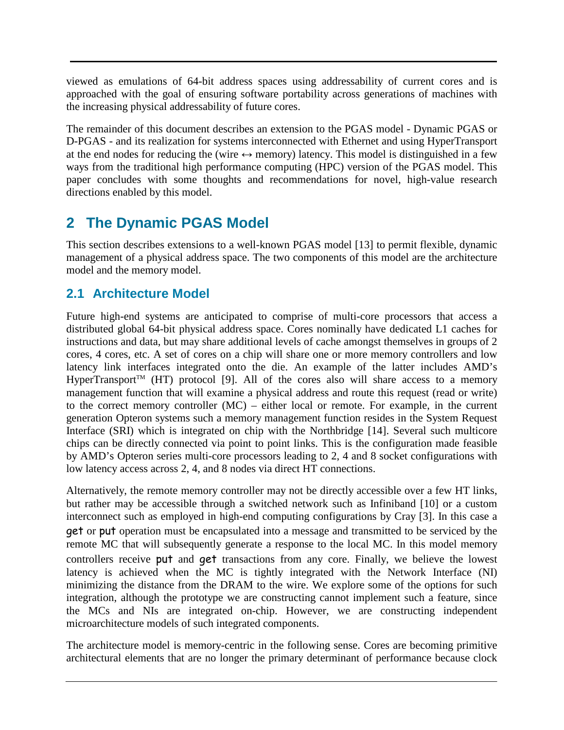viewed as emulations of 64-bit address spaces using addressability of current cores and is approached with the goal of ensuring software portability across generations of machines with the increasing physical addressability of future cores.

The remainder of this document describes an extension to the PGAS model - Dynamic PGAS or D-PGAS - and its realization for systems interconnected with Ethernet and using HyperTransport at the end nodes for reducing the (wire  $\leftrightarrow$  memory) latency. This model is distinguished in a few ways from the traditional high performance computing (HPC) version of the PGAS model. This paper concludes with some thoughts and recommendations for novel, high-value research directions enabled by this model.

# **2 The Dynamic PGAS Model**

This section describes extensions to a well-known PGAS model [13] to permit flexible, dynamic management of a physical address space. The two components of this model are the architecture model and the memory model.

### **2.1 Architecture Model**

Future high-end systems are anticipated to comprise of multi-core processors that access a distributed global 64-bit physical address space. Cores nominally have dedicated L1 caches for instructions and data, but may share additional levels of cache amongst themselves in groups of 2 cores, 4 cores, etc. A set of cores on a chip will share one or more memory controllers and low latency link interfaces integrated onto the die. An example of the latter includes AMD's HyperTransport<sup>TM</sup> (HT) protocol [9]. All of the cores also will share access to a memory management function that will examine a physical address and route this request (read or write) to the correct memory controller (MC) – either local or remote. For example, in the current generation Opteron systems such a memory management function resides in the System Request Interface (SRI) which is integrated on chip with the Northbridge [14]. Several such multicore chips can be directly connected via point to point links. This is the configuration made feasible by AMD's Opteron series multi-core processors leading to 2, 4 and 8 socket configurations with low latency access across 2, 4, and 8 nodes via direct HT connections.

Alternatively, the remote memory controller may not be directly accessible over a few HT links, but rather may be accessible through a switched network such as Infiniband [10] or a custom interconnect such as employed in high-end computing configurations by Cray [3]. In this case a get or put operation must be encapsulated into a message and transmitted to be serviced by the remote MC that will subsequently generate a response to the local MC. In this model memory controllers receive put and get transactions from any core. Finally, we believe the lowest latency is achieved when the MC is tightly integrated with the Network Interface (NI) minimizing the distance from the DRAM to the wire. We explore some of the options for such integration, although the prototype we are constructing cannot implement such a feature, since the MCs and NIs are integrated on-chip. However, we are constructing independent microarchitecture models of such integrated components.

The architecture model is memory-centric in the following sense. Cores are becoming primitive architectural elements that are no longer the primary determinant of performance because clock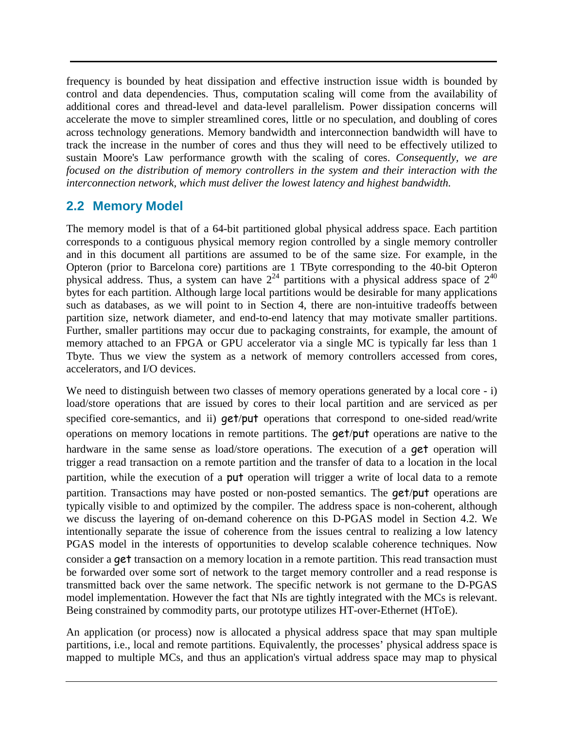frequency is bounded by heat dissipation and effective instruction issue width is bounded by control and data dependencies. Thus, computation scaling will come from the availability of additional cores and thread-level and data-level parallelism. Power dissipation concerns will accelerate the move to simpler streamlined cores, little or no speculation, and doubling of cores across technology generations. Memory bandwidth and interconnection bandwidth will have to track the increase in the number of cores and thus they will need to be effectively utilized to sustain Moore's Law performance growth with the scaling of cores. *Consequently, we are focused on the distribution of memory controllers in the system and their interaction with the interconnection network, which must deliver the lowest latency and highest bandwidth.*

### **2.2 Memory Model**

The memory model is that of a 64-bit partitioned global physical address space. Each partition corresponds to a contiguous physical memory region controlled by a single memory controller and in this document all partitions are assumed to be of the same size. For example, in the Opteron (prior to Barcelona core) partitions are 1 TByte corresponding to the 40-bit Opteron physical address. Thus, a system can have  $2^{24}$  partitions with a physical address space of  $2^{40}$ bytes for each partition. Although large local partitions would be desirable for many applications such as databases, as we will point to in Section 4, there are non-intuitive tradeoffs between partition size, network diameter, and end-to-end latency that may motivate smaller partitions. Further, smaller partitions may occur due to packaging constraints, for example, the amount of memory attached to an FPGA or GPU accelerator via a single MC is typically far less than 1 Tbyte. Thus we view the system as a network of memory controllers accessed from cores, accelerators, and I/O devices.

We need to distinguish between two classes of memory operations generated by a local core - i) load/store operations that are issued by cores to their local partition and are serviced as per specified core-semantics, and ii) get/put operations that correspond to one-sided read/write operations on memory locations in remote partitions. The get/put operations are native to the hardware in the same sense as load/store operations. The execution of a **get** operation will trigger a read transaction on a remote partition and the transfer of data to a location in the local partition, while the execution of a put operation will trigger a write of local data to a remote partition. Transactions may have posted or non-posted semantics. The get/put operations are typically visible to and optimized by the compiler. The address space is non-coherent, although we discuss the layering of on-demand coherence on this D-PGAS model in Section 4.2. We intentionally separate the issue of coherence from the issues central to realizing a low latency PGAS model in the interests of opportunities to develop scalable coherence techniques. Now consider a get transaction on a memory location in a remote partition. This read transaction must be forwarded over some sort of network to the target memory controller and a read response is transmitted back over the same network. The specific network is not germane to the D-PGAS model implementation. However the fact that NIs are tightly integrated with the MCs is relevant. Being constrained by commodity parts, our prototype utilizes HT-over-Ethernet (HToE).

An application (or process) now is allocated a physical address space that may span multiple partitions, i.e., local and remote partitions. Equivalently, the processes' physical address space is mapped to multiple MCs, and thus an application's virtual address space may map to physical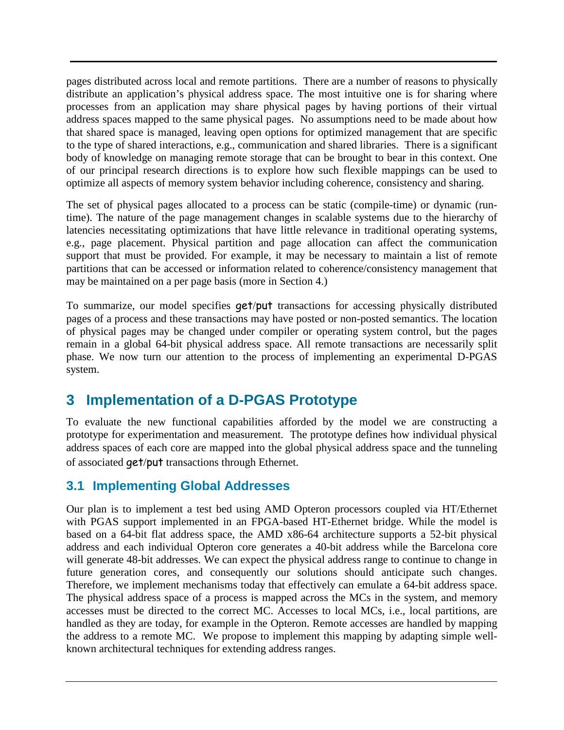pages distributed across local and remote partitions. There are a number of reasons to physically distribute an application's physical address space. The most intuitive one is for sharing where processes from an application may share physical pages by having portions of their virtual address spaces mapped to the same physical pages. No assumptions need to be made about how that shared space is managed, leaving open options for optimized management that are specific to the type of shared interactions, e.g., communication and shared libraries. There is a significant body of knowledge on managing remote storage that can be brought to bear in this context. One of our principal research directions is to explore how such flexible mappings can be used to optimize all aspects of memory system behavior including coherence, consistency and sharing.

The set of physical pages allocated to a process can be static (compile-time) or dynamic (runtime). The nature of the page management changes in scalable systems due to the hierarchy of latencies necessitating optimizations that have little relevance in traditional operating systems, e.g., page placement. Physical partition and page allocation can affect the communication support that must be provided. For example, it may be necessary to maintain a list of remote partitions that can be accessed or information related to coherence/consistency management that may be maintained on a per page basis (more in Section 4.)

To summarize, our model specifies get/put transactions for accessing physically distributed pages of a process and these transactions may have posted or non-posted semantics. The location of physical pages may be changed under compiler or operating system control, but the pages remain in a global 64-bit physical address space. All remote transactions are necessarily split phase. We now turn our attention to the process of implementing an experimental D-PGAS system.

# **3 Implementation of a D-PGAS Prototype**

To evaluate the new functional capabilities afforded by the model we are constructing a prototype for experimentation and measurement. The prototype defines how individual physical address spaces of each core are mapped into the global physical address space and the tunneling of associated get/put transactions through Ethernet.

#### **3.1 Implementing Global Addresses**

Our plan is to implement a test bed using AMD Opteron processors coupled via HT/Ethernet with PGAS support implemented in an FPGA-based HT-Ethernet bridge. While the model is based on a 64-bit flat address space, the AMD x86-64 architecture supports a 52-bit physical address and each individual Opteron core generates a 40-bit address while the Barcelona core will generate 48-bit addresses. We can expect the physical address range to continue to change in future generation cores, and consequently our solutions should anticipate such changes. Therefore, we implement mechanisms today that effectively can emulate a 64-bit address space. The physical address space of a process is mapped across the MCs in the system, and memory accesses must be directed to the correct MC. Accesses to local MCs, i.e., local partitions, are handled as they are today, for example in the Opteron. Remote accesses are handled by mapping the address to a remote MC. We propose to implement this mapping by adapting simple wellknown architectural techniques for extending address ranges.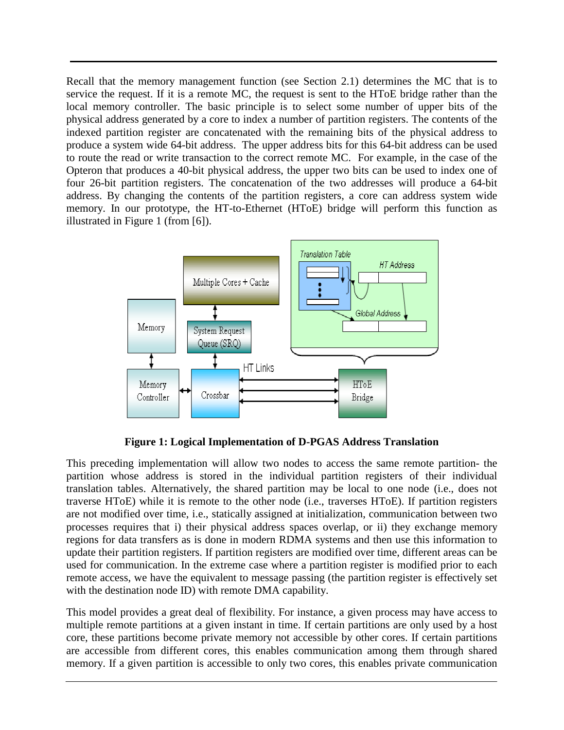Recall that the memory management function (see Section 2.1) determines the MC that is to service the request. If it is a remote MC, the request is sent to the HToE bridge rather than the local memory controller. The basic principle is to select some number of upper bits of the physical address generated by a core to index a number of partition registers. The contents of the indexed partition register are concatenated with the remaining bits of the physical address to produce a system wide 64-bit address. The upper address bits for this 64-bit address can be used to route the read or write transaction to the correct remote MC. For example, in the case of the Opteron that produces a 40-bit physical address, the upper two bits can be used to index one of four 26-bit partition registers. The concatenation of the two addresses will produce a 64-bit address. By changing the contents of the partition registers, a core can address system wide memory. In our prototype, the HT-to-Ethernet (HToE) bridge will perform this function as illustrated in Figure 1 (from [6]).



**Figure 1: Logical Implementation of D-PGAS Address Translation** 

This preceding implementation will allow two nodes to access the same remote partition- the partition whose address is stored in the individual partition registers of their individual translation tables. Alternatively, the shared partition may be local to one node (i.e., does not traverse HToE) while it is remote to the other node (i.e., traverses HToE). If partition registers are not modified over time, i.e., statically assigned at initialization, communication between two processes requires that i) their physical address spaces overlap, or ii) they exchange memory regions for data transfers as is done in modern RDMA systems and then use this information to update their partition registers. If partition registers are modified over time, different areas can be used for communication. In the extreme case where a partition register is modified prior to each remote access, we have the equivalent to message passing (the partition register is effectively set with the destination node ID) with remote DMA capability.

This model provides a great deal of flexibility. For instance, a given process may have access to multiple remote partitions at a given instant in time. If certain partitions are only used by a host core, these partitions become private memory not accessible by other cores. If certain partitions are accessible from different cores, this enables communication among them through shared memory. If a given partition is accessible to only two cores, this enables private communication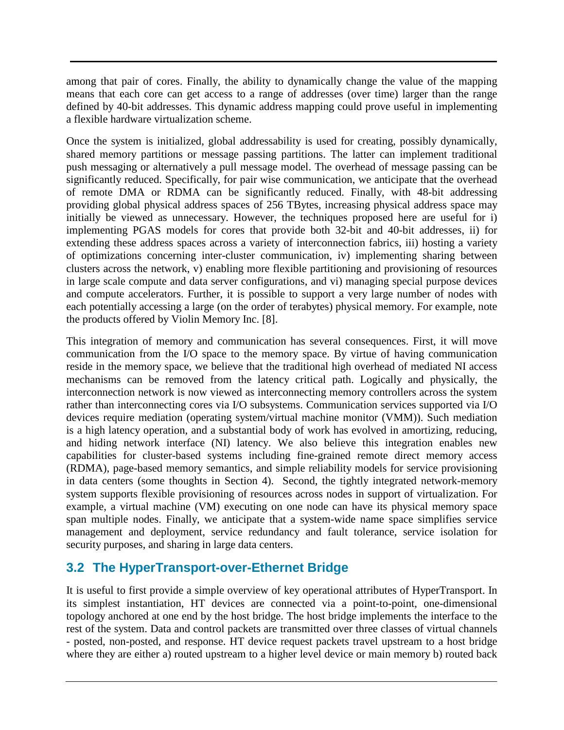among that pair of cores. Finally, the ability to dynamically change the value of the mapping means that each core can get access to a range of addresses (over time) larger than the range defined by 40-bit addresses. This dynamic address mapping could prove useful in implementing a flexible hardware virtualization scheme.

Once the system is initialized, global addressability is used for creating, possibly dynamically, shared memory partitions or message passing partitions. The latter can implement traditional push messaging or alternatively a pull message model. The overhead of message passing can be significantly reduced. Specifically, for pair wise communication, we anticipate that the overhead of remote DMA or RDMA can be significantly reduced. Finally, with 48-bit addressing providing global physical address spaces of 256 TBytes, increasing physical address space may initially be viewed as unnecessary. However, the techniques proposed here are useful for i) implementing PGAS models for cores that provide both 32-bit and 40-bit addresses, ii) for extending these address spaces across a variety of interconnection fabrics, iii) hosting a variety of optimizations concerning inter-cluster communication, iv) implementing sharing between clusters across the network, v) enabling more flexible partitioning and provisioning of resources in large scale compute and data server configurations, and vi) managing special purpose devices and compute accelerators. Further, it is possible to support a very large number of nodes with each potentially accessing a large (on the order of terabytes) physical memory. For example, note the products offered by Violin Memory Inc. [8].

This integration of memory and communication has several consequences. First, it will move communication from the I/O space to the memory space. By virtue of having communication reside in the memory space, we believe that the traditional high overhead of mediated NI access mechanisms can be removed from the latency critical path. Logically and physically, the interconnection network is now viewed as interconnecting memory controllers across the system rather than interconnecting cores via I/O subsystems. Communication services supported via I/O devices require mediation (operating system/virtual machine monitor (VMM)). Such mediation is a high latency operation, and a substantial body of work has evolved in amortizing, reducing, and hiding network interface (NI) latency. We also believe this integration enables new capabilities for cluster-based systems including fine-grained remote direct memory access (RDMA), page-based memory semantics, and simple reliability models for service provisioning in data centers (some thoughts in Section 4). Second, the tightly integrated network-memory system supports flexible provisioning of resources across nodes in support of virtualization. For example, a virtual machine (VM) executing on one node can have its physical memory space span multiple nodes. Finally, we anticipate that a system-wide name space simplifies service management and deployment, service redundancy and fault tolerance, service isolation for security purposes, and sharing in large data centers.

### **3.2 The HyperTransport-over-Ethernet Bridge**

It is useful to first provide a simple overview of key operational attributes of HyperTransport. In its simplest instantiation, HT devices are connected via a point-to-point, one-dimensional topology anchored at one end by the host bridge. The host bridge implements the interface to the rest of the system. Data and control packets are transmitted over three classes of virtual channels - posted, non-posted, and response. HT device request packets travel upstream to a host bridge where they are either a) routed upstream to a higher level device or main memory b) routed back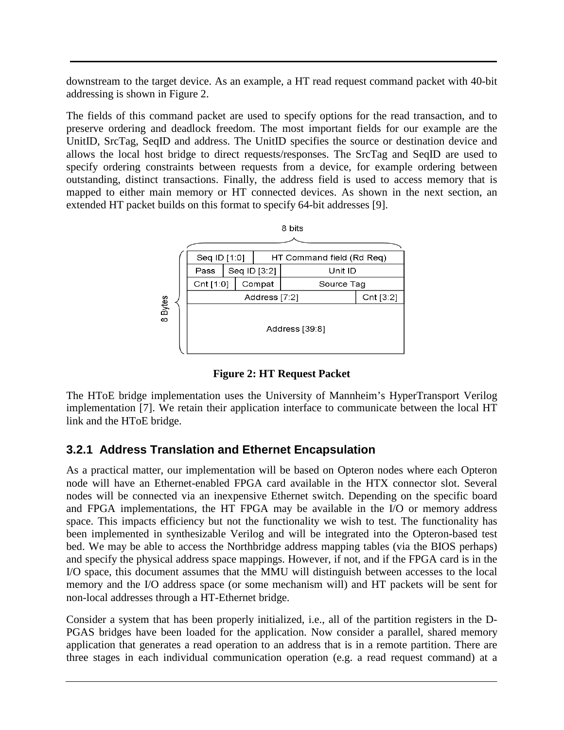downstream to the target device. As an example, a HT read request command packet with 40-bit addressing is shown in Figure 2.

The fields of this command packet are used to specify options for the read transaction, and to preserve ordering and deadlock freedom. The most important fields for our example are the UnitID, SrcTag, SeqID and address. The UnitID specifies the source or destination device and allows the local host bridge to direct requests/responses. The SrcTag and SeqID are used to specify ordering constraints between requests from a device, for example ordering between outstanding, distinct transactions. Finally, the address field is used to access memory that is mapped to either main memory or HT connected devices. As shown in the next section, an extended HT packet builds on this format to specify 64-bit addresses [9].



**Figure 2: HT Request Packet** 

The HToE bridge implementation uses the University of Mannheim's HyperTransport Verilog implementation [7]. We retain their application interface to communicate between the local HT link and the HToE bridge.

#### **3.2.1 Address Translation and Ethernet Encapsulation**

As a practical matter, our implementation will be based on Opteron nodes where each Opteron node will have an Ethernet-enabled FPGA card available in the HTX connector slot. Several nodes will be connected via an inexpensive Ethernet switch. Depending on the specific board and FPGA implementations, the HT FPGA may be available in the I/O or memory address space. This impacts efficiency but not the functionality we wish to test. The functionality has been implemented in synthesizable Verilog and will be integrated into the Opteron-based test bed. We may be able to access the Northbridge address mapping tables (via the BIOS perhaps) and specify the physical address space mappings. However, if not, and if the FPGA card is in the I/O space, this document assumes that the MMU will distinguish between accesses to the local memory and the I/O address space (or some mechanism will) and HT packets will be sent for non-local addresses through a HT-Ethernet bridge.

Consider a system that has been properly initialized, i.e., all of the partition registers in the D-PGAS bridges have been loaded for the application. Now consider a parallel, shared memory application that generates a read operation to an address that is in a remote partition. There are three stages in each individual communication operation (e.g. a read request command) at a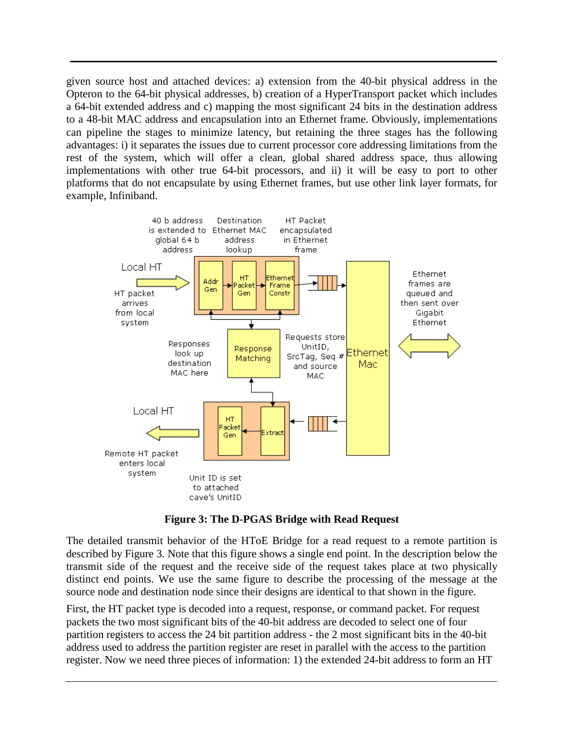given source host and attached devices: a) extension from the 40-bit physical address in the Opteron to the 64-bit physical addresses, b) creation of a HyperTransport packet which includes a 64-bit extended address and c) mapping the most significant 24 bits in the destination address to a 48-bit MAC address and encapsulation into an Ethernet frame. Obviously, implementations can pipeline the stages to minimize latency, but retaining the three stages has the following advantages: i) it separates the issues due to current processor core addressing limitations from the rest of the system, which will offer a clean, global shared address space, thus allowing implementations with other true 64-bit processors, and ii) it will be easy to port to other platforms that do not encapsulate by using Ethernet frames, but use other link layer formats, for example, Infiniband.



**Figure 3: The D-PGAS Bridge with Read Request** 

The detailed transmit behavior of the HToE Bridge for a read request to a remote partition is described by Figure 3. Note that this figure shows a single end point. In the description below the transmit side of the request and the receive side of the request takes place at two physically distinct end points. We use the same figure to describe the processing of the message at the source node and destination node since their designs are identical to that shown in the figure.

First, the HT packet type is decoded into a request, response, or command packet. For request packets the two most significant bits of the 40-bit address are decoded to select one of four partition registers to access the 24 bit partition address - the 2 most significant bits in the 40-bit address used to address the partition register are reset in parallel with the access to the partition register. Now we need three pieces of information: 1) the extended 24-bit address to form an HT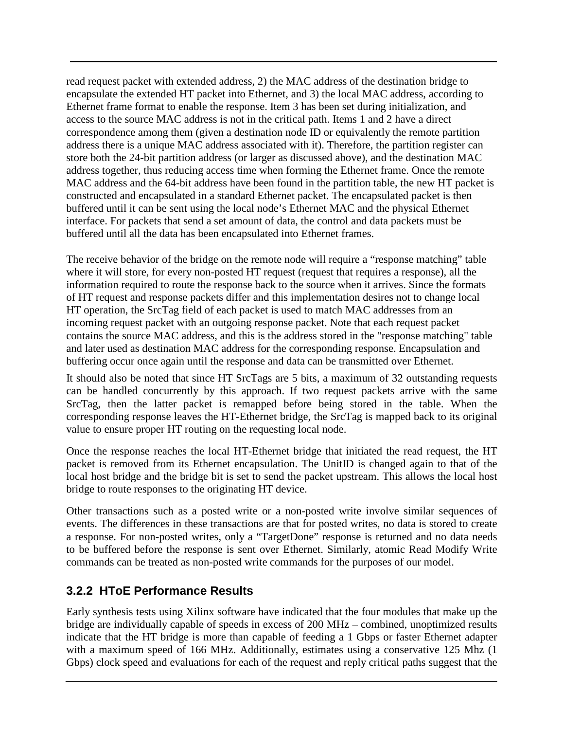read request packet with extended address, 2) the MAC address of the destination bridge to encapsulate the extended HT packet into Ethernet, and 3) the local MAC address, according to Ethernet frame format to enable the response. Item 3 has been set during initialization, and access to the source MAC address is not in the critical path. Items 1 and 2 have a direct correspondence among them (given a destination node ID or equivalently the remote partition address there is a unique MAC address associated with it). Therefore, the partition register can store both the 24-bit partition address (or larger as discussed above), and the destination MAC address together, thus reducing access time when forming the Ethernet frame. Once the remote MAC address and the 64-bit address have been found in the partition table, the new HT packet is constructed and encapsulated in a standard Ethernet packet. The encapsulated packet is then buffered until it can be sent using the local node's Ethernet MAC and the physical Ethernet interface. For packets that send a set amount of data, the control and data packets must be buffered until all the data has been encapsulated into Ethernet frames.

The receive behavior of the bridge on the remote node will require a "response matching" table where it will store, for every non-posted HT request (request that requires a response), all the information required to route the response back to the source when it arrives. Since the formats of HT request and response packets differ and this implementation desires not to change local HT operation, the SrcTag field of each packet is used to match MAC addresses from an incoming request packet with an outgoing response packet. Note that each request packet contains the source MAC address, and this is the address stored in the "response matching" table and later used as destination MAC address for the corresponding response. Encapsulation and buffering occur once again until the response and data can be transmitted over Ethernet.

It should also be noted that since HT SrcTags are 5 bits, a maximum of 32 outstanding requests can be handled concurrently by this approach. If two request packets arrive with the same SrcTag, then the latter packet is remapped before being stored in the table. When the corresponding response leaves the HT-Ethernet bridge, the SrcTag is mapped back to its original value to ensure proper HT routing on the requesting local node.

Once the response reaches the local HT-Ethernet bridge that initiated the read request, the HT packet is removed from its Ethernet encapsulation. The UnitID is changed again to that of the local host bridge and the bridge bit is set to send the packet upstream. This allows the local host bridge to route responses to the originating HT device.

Other transactions such as a posted write or a non-posted write involve similar sequences of events. The differences in these transactions are that for posted writes, no data is stored to create a response. For non-posted writes, only a "TargetDone" response is returned and no data needs to be buffered before the response is sent over Ethernet. Similarly, atomic Read Modify Write commands can be treated as non-posted write commands for the purposes of our model.

#### **3.2.2 HToE Performance Results**

Early synthesis tests using Xilinx software have indicated that the four modules that make up the bridge are individually capable of speeds in excess of 200 MHz – combined, unoptimized results indicate that the HT bridge is more than capable of feeding a 1 Gbps or faster Ethernet adapter with a maximum speed of 166 MHz. Additionally, estimates using a conservative 125 Mhz (1 Gbps) clock speed and evaluations for each of the request and reply critical paths suggest that the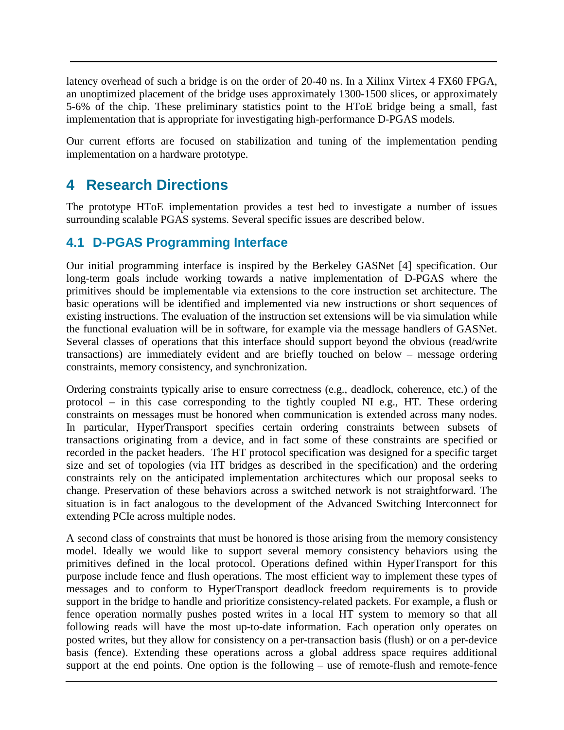latency overhead of such a bridge is on the order of 20-40 ns. In a Xilinx Virtex 4 FX60 FPGA, an unoptimized placement of the bridge uses approximately 1300-1500 slices, or approximately 5-6% of the chip. These preliminary statistics point to the HToE bridge being a small, fast implementation that is appropriate for investigating high-performance D-PGAS models.

Our current efforts are focused on stabilization and tuning of the implementation pending implementation on a hardware prototype.

# **4 Research Directions**

The prototype HToE implementation provides a test bed to investigate a number of issues surrounding scalable PGAS systems. Several specific issues are described below.

#### **4.1 D-PGAS Programming Interface**

Our initial programming interface is inspired by the Berkeley GASNet [4] specification. Our long-term goals include working towards a native implementation of D-PGAS where the primitives should be implementable via extensions to the core instruction set architecture. The basic operations will be identified and implemented via new instructions or short sequences of existing instructions. The evaluation of the instruction set extensions will be via simulation while the functional evaluation will be in software, for example via the message handlers of GASNet. Several classes of operations that this interface should support beyond the obvious (read/write transactions) are immediately evident and are briefly touched on below – message ordering constraints, memory consistency, and synchronization.

Ordering constraints typically arise to ensure correctness (e.g., deadlock, coherence, etc.) of the protocol – in this case corresponding to the tightly coupled NI e.g., HT. These ordering constraints on messages must be honored when communication is extended across many nodes. In particular, HyperTransport specifies certain ordering constraints between subsets of transactions originating from a device, and in fact some of these constraints are specified or recorded in the packet headers. The HT protocol specification was designed for a specific target size and set of topologies (via HT bridges as described in the specification) and the ordering constraints rely on the anticipated implementation architectures which our proposal seeks to change. Preservation of these behaviors across a switched network is not straightforward. The situation is in fact analogous to the development of the Advanced Switching Interconnect for extending PCIe across multiple nodes.

A second class of constraints that must be honored is those arising from the memory consistency model. Ideally we would like to support several memory consistency behaviors using the primitives defined in the local protocol. Operations defined within HyperTransport for this purpose include fence and flush operations. The most efficient way to implement these types of messages and to conform to HyperTransport deadlock freedom requirements is to provide support in the bridge to handle and prioritize consistency-related packets. For example, a flush or fence operation normally pushes posted writes in a local HT system to memory so that all following reads will have the most up-to-date information. Each operation only operates on posted writes, but they allow for consistency on a per-transaction basis (flush) or on a per-device basis (fence). Extending these operations across a global address space requires additional support at the end points. One option is the following – use of remote-flush and remote-fence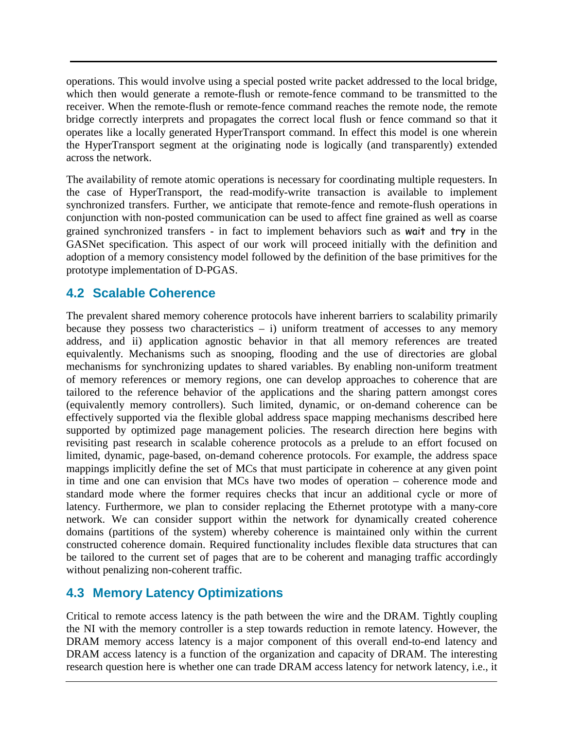operations. This would involve using a special posted write packet addressed to the local bridge, which then would generate a remote-flush or remote-fence command to be transmitted to the receiver. When the remote-flush or remote-fence command reaches the remote node, the remote bridge correctly interprets and propagates the correct local flush or fence command so that it operates like a locally generated HyperTransport command. In effect this model is one wherein the HyperTransport segment at the originating node is logically (and transparently) extended across the network.

The availability of remote atomic operations is necessary for coordinating multiple requesters. In the case of HyperTransport, the read-modify-write transaction is available to implement synchronized transfers. Further, we anticipate that remote-fence and remote-flush operations in conjunction with non-posted communication can be used to affect fine grained as well as coarse grained synchronized transfers - in fact to implement behaviors such as wait and try in the GASNet specification. This aspect of our work will proceed initially with the definition and adoption of a memory consistency model followed by the definition of the base primitives for the prototype implementation of D-PGAS.

### **4.2 Scalable Coherence**

The prevalent shared memory coherence protocols have inherent barriers to scalability primarily because they possess two characteristics  $- i$ ) uniform treatment of accesses to any memory address, and ii) application agnostic behavior in that all memory references are treated equivalently. Mechanisms such as snooping, flooding and the use of directories are global mechanisms for synchronizing updates to shared variables. By enabling non-uniform treatment of memory references or memory regions, one can develop approaches to coherence that are tailored to the reference behavior of the applications and the sharing pattern amongst cores (equivalently memory controllers). Such limited, dynamic, or on-demand coherence can be effectively supported via the flexible global address space mapping mechanisms described here supported by optimized page management policies. The research direction here begins with revisiting past research in scalable coherence protocols as a prelude to an effort focused on limited, dynamic, page-based, on-demand coherence protocols. For example, the address space mappings implicitly define the set of MCs that must participate in coherence at any given point in time and one can envision that MCs have two modes of operation – coherence mode and standard mode where the former requires checks that incur an additional cycle or more of latency. Furthermore, we plan to consider replacing the Ethernet prototype with a many-core network. We can consider support within the network for dynamically created coherence domains (partitions of the system) whereby coherence is maintained only within the current constructed coherence domain. Required functionality includes flexible data structures that can be tailored to the current set of pages that are to be coherent and managing traffic accordingly without penalizing non-coherent traffic.

### **4.3 Memory Latency Optimizations**

Critical to remote access latency is the path between the wire and the DRAM. Tightly coupling the NI with the memory controller is a step towards reduction in remote latency. However, the DRAM memory access latency is a major component of this overall end-to-end latency and DRAM access latency is a function of the organization and capacity of DRAM. The interesting research question here is whether one can trade DRAM access latency for network latency, i.e., it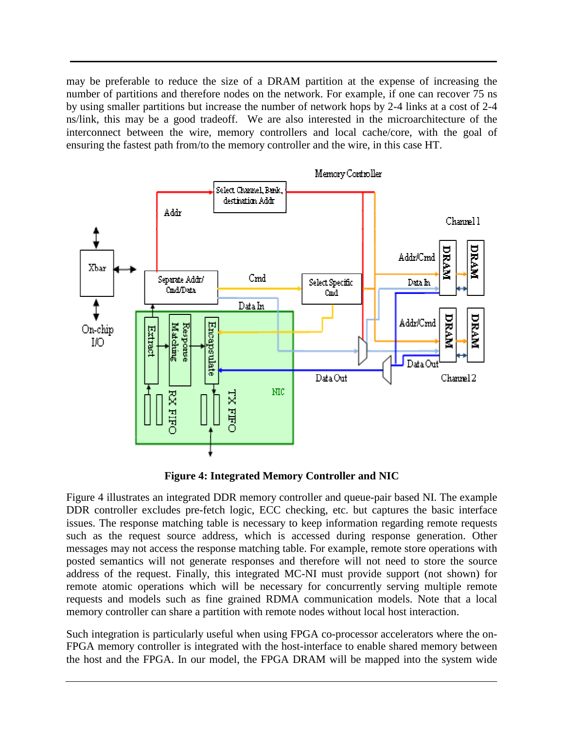may be preferable to reduce the size of a DRAM partition at the expense of increasing the number of partitions and therefore nodes on the network. For example, if one can recover 75 ns by using smaller partitions but increase the number of network hops by 2-4 links at a cost of 2-4 ns/link, this may be a good tradeoff. We are also interested in the microarchitecture of the interconnect between the wire, memory controllers and local cache/core, with the goal of ensuring the fastest path from/to the memory controller and the wire, in this case HT.



**Figure 4: Integrated Memory Controller and NIC** 

Figure 4 illustrates an integrated DDR memory controller and queue-pair based NI. The example DDR controller excludes pre-fetch logic, ECC checking, etc. but captures the basic interface issues. The response matching table is necessary to keep information regarding remote requests such as the request source address, which is accessed during response generation. Other messages may not access the response matching table. For example, remote store operations with posted semantics will not generate responses and therefore will not need to store the source address of the request. Finally, this integrated MC-NI must provide support (not shown) for remote atomic operations which will be necessary for concurrently serving multiple remote requests and models such as fine grained RDMA communication models. Note that a local memory controller can share a partition with remote nodes without local host interaction.

Such integration is particularly useful when using FPGA co-processor accelerators where the on-FPGA memory controller is integrated with the host-interface to enable shared memory between the host and the FPGA. In our model, the FPGA DRAM will be mapped into the system wide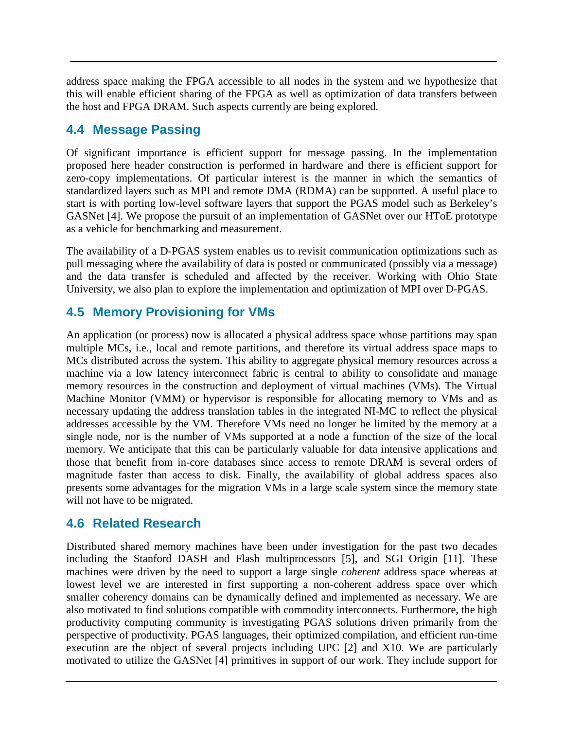address space making the FPGA accessible to all nodes in the system and we hypothesize that this will enable efficient sharing of the FPGA as well as optimization of data transfers between the host and FPGA DRAM. Such aspects currently are being explored.

### **4.4 Message Passing**

Of significant importance is efficient support for message passing. In the implementation proposed here header construction is performed in hardware and there is efficient support for zero-copy implementations. Of particular interest is the manner in which the semantics of standardized layers such as MPI and remote DMA (RDMA) can be supported. A useful place to start is with porting low-level software layers that support the PGAS model such as Berkeley's GASNet [4]. We propose the pursuit of an implementation of GASNet over our HToE prototype as a vehicle for benchmarking and measurement.

The availability of a D-PGAS system enables us to revisit communication optimizations such as pull messaging where the availability of data is posted or communicated (possibly via a message) and the data transfer is scheduled and affected by the receiver. Working with Ohio State University, we also plan to explore the implementation and optimization of MPI over D-PGAS.

## **4.5 Memory Provisioning for VMs**

An application (or process) now is allocated a physical address space whose partitions may span multiple MCs, i.e., local and remote partitions, and therefore its virtual address space maps to MCs distributed across the system. This ability to aggregate physical memory resources across a machine via a low latency interconnect fabric is central to ability to consolidate and manage memory resources in the construction and deployment of virtual machines (VMs). The Virtual Machine Monitor (VMM) or hypervisor is responsible for allocating memory to VMs and as necessary updating the address translation tables in the integrated NI-MC to reflect the physical addresses accessible by the VM. Therefore VMs need no longer be limited by the memory at a single node, nor is the number of VMs supported at a node a function of the size of the local memory. We anticipate that this can be particularly valuable for data intensive applications and those that benefit from in-core databases since access to remote DRAM is several orders of magnitude faster than access to disk. Finally, the availability of global address spaces also presents some advantages for the migration VMs in a large scale system since the memory state will not have to be migrated.

### **4.6 Related Research**

Distributed shared memory machines have been under investigation for the past two decades including the Stanford DASH and Flash multiprocessors [5], and SGI Origin [11]. These machines were driven by the need to support a large single *coherent* address space whereas at lowest level we are interested in first supporting a non-coherent address space over which smaller coherency domains can be dynamically defined and implemented as necessary. We are also motivated to find solutions compatible with commodity interconnects. Furthermore, the high productivity computing community is investigating PGAS solutions driven primarily from the perspective of productivity. PGAS languages, their optimized compilation, and efficient run-time execution are the object of several projects including UPC [2] and X10. We are particularly motivated to utilize the GASNet [4] primitives in support of our work. They include support for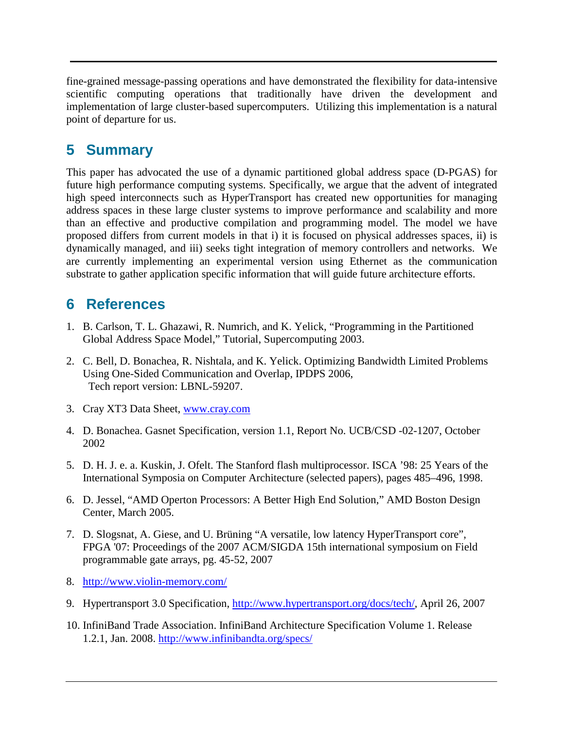fine-grained message-passing operations and have demonstrated the flexibility for data-intensive scientific computing operations that traditionally have driven the development and implementation of large cluster-based supercomputers. Utilizing this implementation is a natural point of departure for us.

# **5 Summary**

This paper has advocated the use of a dynamic partitioned global address space (D-PGAS) for future high performance computing systems. Specifically, we argue that the advent of integrated high speed interconnects such as HyperTransport has created new opportunities for managing address spaces in these large cluster systems to improve performance and scalability and more than an effective and productive compilation and programming model. The model we have proposed differs from current models in that i) it is focused on physical addresses spaces, ii) is dynamically managed, and iii) seeks tight integration of memory controllers and networks. We are currently implementing an experimental version using Ethernet as the communication substrate to gather application specific information that will guide future architecture efforts.

# **6 References**

- 1. B. Carlson, T. L. Ghazawi, R. Numrich, and K. Yelick, "Programming in the Partitioned Global Address Space Model," Tutorial, Supercomputing 2003.
- 2. C. Bell, D. Bonachea, R. Nishtala, and K. Yelick. Optimizing Bandwidth Limited Problems Using One-Sided Communication and Overlap, IPDPS 2006, Tech report version: LBNL-59207.
- 3. Cray XT3 Data Sheet, www.cray.com
- 4. D. Bonachea. Gasnet Specification, version 1.1, Report No. UCB/CSD -02-1207, October 2002
- 5. D. H. J. e. a. Kuskin, J. Ofelt. The Stanford flash multiprocessor. ISCA '98: 25 Years of the International Symposia on Computer Architecture (selected papers), pages 485–496, 1998.
- 6. D. Jessel, "AMD Operton Processors: A Better High End Solution," AMD Boston Design Center, March 2005.
- 7. D. Slogsnat, A. Giese, and U. Brüning "A versatile, low latency HyperTransport core", FPGA '07: Proceedings of the 2007 ACM/SIGDA 15th international symposium on Field programmable gate arrays, pg. 45-52, 2007
- 8. http://www.violin-memory.com/
- 9. Hypertransport 3.0 Specification, http://www.hypertransport.org/docs/tech/, April 26, 2007
- 10. InfiniBand Trade Association. InfiniBand Architecture Specification Volume 1. Release 1.2.1, Jan. 2008. http://www.infinibandta.org/specs/